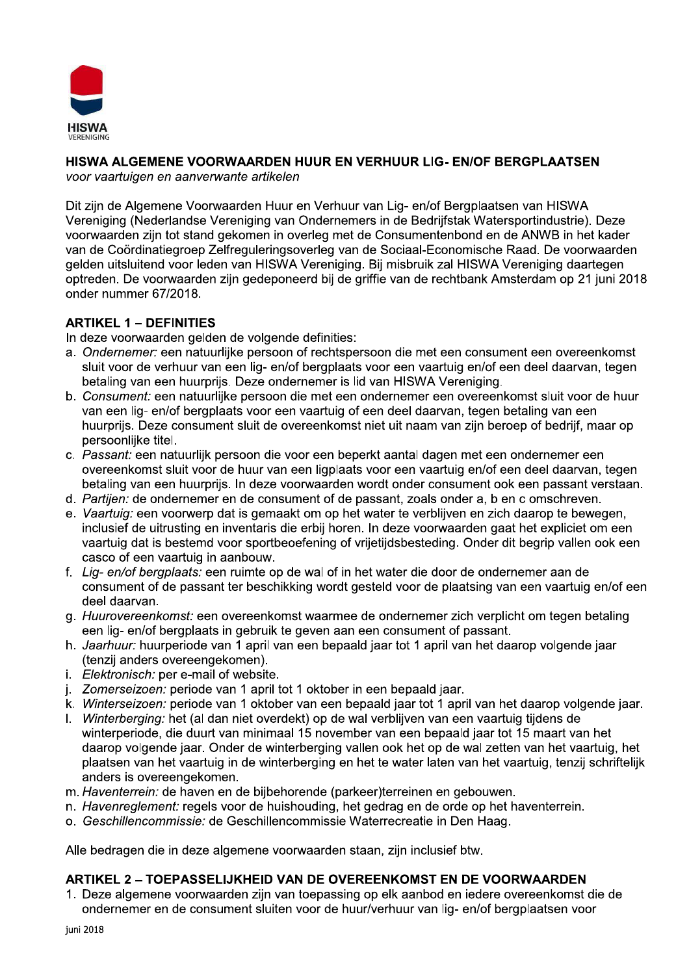

# HISWA ALGEMENE VOORWAARDEN HUUR EN VERHUUR LIG- EN/OF BERGPLAATSEN

voor vaartuigen en aanverwante artikelen

Dit zijn de Algemene Voorwaarden Huur en Verhuur van Lig- en/of Bergplaatsen van HISWA Vereniging (Nederlandse Vereniging van Ondernemers in de Bedrijfstak Watersportindustrie). Deze voorwaarden zijn tot stand gekomen in overleg met de Consumentenbond en de ANWB in het kader van de Coördinatiegroep Zelfreguleringsoverleg van de Sociaal-Economische Raad. De voorwaarden gelden uitsluitend voor leden van HISWA Vereniging. Bij misbruik zal HISWA Vereniging daartegen optreden. De voorwaarden zijn gedeponeerd bij de griffie van de rechtbank Amsterdam op 21 juni 2018 onder nummer 67/2018.

# **ARTIKEL 1 - DEFINITIES**

In deze voorwaarden gelden de volgende definities:

- a. Ondernemer: een natuurlijke persoon of rechtspersoon die met een consument een overeenkomst sluit voor de verhuur van een lig- en/of bergplaats voor een vaartuig en/of een deel daarvan, tegen betaling van een huurpriis. Deze ondernemer is lid van HISWA Vereniging.
- b. Consument: een natuurlijke persoon die met een ondernemer een overeenkomst sluit voor de huur van een lig- en/of bergplaats voor een vaartuig of een deel daarvan, tegen betaling van een huurpriis. Deze consument sluit de overeenkomst niet uit naam van zijn beroep of bedrijf, maar op persoonlijke titel.
- c. Passant: een natuurlijk persoon die voor een beperkt aantal dagen met een ondernemer een overeenkomst sluit voor de huur van een ligplaats voor een vaartuig en/of een deel daarvan, tegen betaling van een huurpriis. In deze voorwaarden wordt onder consument ook een passant verstaan.
- d. Partijen: de ondernemer en de consument of de passant, zoals onder a, b en c omschreven.
- e. Vaartuig: een voorwerp dat is gemaakt om op het water te verblijven en zich daarop te bewegen, inclusief de uitrusting en inventaris die erbij horen. In deze voorwaarden gaat het expliciet om een vaartuig dat is bestemd voor sportbeoefening of vrijetijdsbesteding. Onder dit begrip vallen ook een casco of een vaartuig in aanbouw.
- f. Lig- en/of bergplaats: een ruimte op de wal of in het water die door de ondernemer aan de consument of de passant ter beschikking wordt gesteld voor de plaatsing van een vaartuig en/of een deel daarvan.
- g. Huurovereenkomst: een overeenkomst waarmee de ondernemer zich verplicht om tegen betaling een lig- en/of bergplaats in gebruik te geven aan een consument of passant.
- h. Jaarhuur: huurperiode van 1 april van een bepaald jaar tot 1 april van het daarop volgende jaar (tenzij anders overeengekomen).
- i. Elektronisch: per e-mail of website.
- j. Zomerseizoen: periode van 1 april tot 1 oktober in een bepaald jaar.
- k. Winterseizoen: periode van 1 oktober van een bepaald jaar tot 1 april van het daarop volgende jaar.
- I. Winterberging: het (al dan niet overdekt) op de wal verbliiven van een vaartuig tijdens de winterperiode, die duurt van minimaal 15 november van een bepaald jaar tot 15 maart van het daarop volgende jaar. Onder de winterberging vallen ook het op de wal zetten van het vaartuig, het plaatsen van het vaartuig in de winterberging en het te water laten van het vaartuig, tenzij schriftelijk anders is overeengekomen.
- m. Haventerrein: de haven en de bijbehorende (parkeer)terreinen en gebouwen.
- n. Havenreglement: regels voor de huishouding, het gedrag en de orde op het haventerrein.
- o. Geschillencommissie: de Geschillencommissie Waterrecreatie in Den Haag.

Alle bedragen die in deze algemene voorwaarden staan, zijn inclusief btw.

### ARTIKEL 2 - TOEPASSELIJKHEID VAN DE OVEREENKOMST EN DE VOORWAARDEN

1. Deze algemene voorwaarden zijn van toepassing op elk aanbod en jedere overeenkomst die de ondernemer en de consument sluiten voor de huur/verhuur van lig- en/of bergplaatsen voor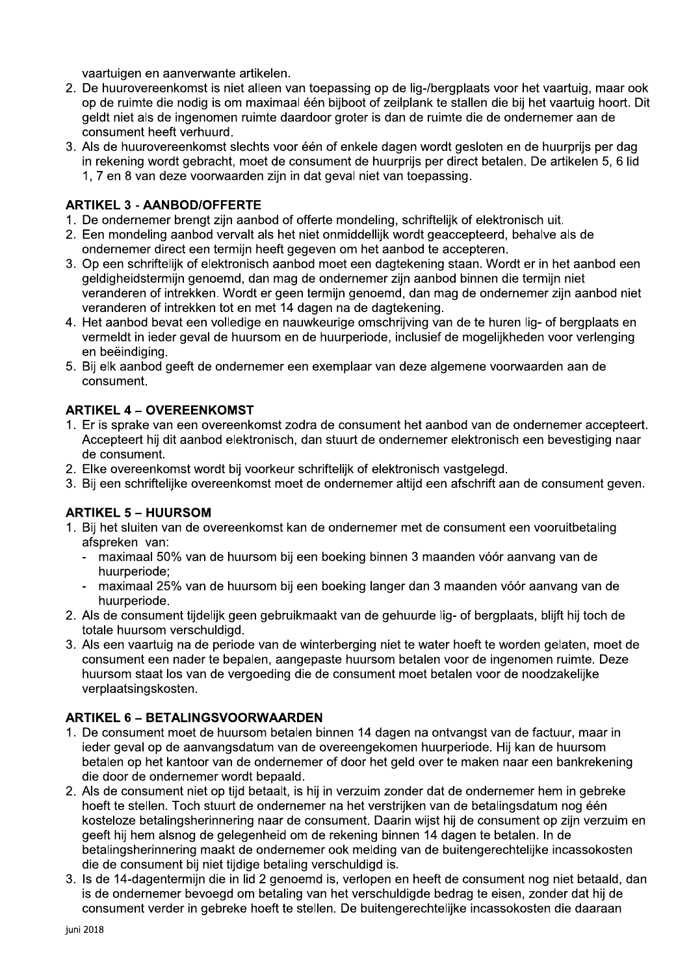vaartuigen en aanverwante artikelen.

- 2. De huurovereenkomst is niet alleen van toepassing op de lig-/bergplaats voor het vaartuig, maar ook op de ruimte die nodig is om maximaal één bijboot of zeilplank te stallen die bij het vaartuig hoort. Dit geldt niet als de ingenomen ruimte daardoor groter is dan de ruimte die de ondernemer aan de consument heeft verhuurd.
- 3. Als de huurovereenkomst slechts voor één of enkele dagen wordt gesloten en de huurprijs per dag in rekening wordt gebracht, moet de consument de huurprijs per direct betalen. De artikelen 5, 6 lid 1. 7 en 8 van deze voorwaarden zijn in dat geval niet van toepassing.

#### **ARTIKEL 3 - AANBOD/OFFERTE**

- 1. De ondernemer brengt zijn aanbod of offerte mondeling, schriftelijk of elektronisch uit.
- 2. Een mondeling aanbod vervalt als het niet onmiddellijk wordt geaccepteerd, behalve als de ondernemer direct een termijn heeft gegeven om het aanbod te accepteren.
- 3. Op een schriftelijk of elektronisch aanbod moet een dagtekening staan. Wordt er in het aanbod een geldigheidstermijn genoemd, dan mag de ondernemer zijn aanbod binnen die termijn niet veranderen of intrekken. Wordt er geen termijn genoemd, dan mag de ondernemer zijn aanbod niet veranderen of intrekken tot en met 14 dagen na de dagtekening.
- 4. Het aanbod bevat een volledige en nauwkeurige omschrijving van de te huren lig- of bergplaats en vermeldt in ieder geval de huursom en de huurperiode, inclusief de mogelijkheden voor verlenging en beëindiging.
- 5. Bij elk aanbod geeft de ondernemer een exemplaar van deze algemene voorwaarden aan de consument.

### **ARTIKEL 4 - OVEREENKOMST**

- 1. Er is sprake van een overeenkomst zodra de consument het aanbod van de ondernemer accepteert. Accepteert hij dit aanbod elektronisch, dan stuurt de ondernemer elektronisch een bevestiging naar de consument.
- 2. Elke overeenkomst wordt bij voorkeur schriftelijk of elektronisch vastgelegd.
- 3. Bij een schriftelijke overeenkomst moet de ondernemer altijd een afschrift aan de consument geven.

#### **ARTIKEL 5 - HUURSOM**

- 1. Bij het sluiten van de overeenkomst kan de ondernemer met de consument een vooruitbetaling afspreken van:
	- maximaal 50% van de huursom bij een boeking binnen 3 maanden vóór aanvang van de huurperiode:
	- maximaal 25% van de huursom bij een boeking langer dan 3 maanden vóór aanvang van de huurperiode.
- 2. Als de consument tijdelijk geen gebruikmaakt van de gehuurde lig- of bergplaats, blijft hij toch de totale huursom verschuldigd.
- 3. Als een vaartuig na de periode van de winterberging niet te water hoeft te worden gelaten, moet de consument een nader te bepalen, aangepaste huursom betalen voor de ingenomen ruimte. Deze huursom staat los van de vergoeding die de consument moet betalen voor de noodzakelijke verplaatsingskosten.

### **ARTIKEL 6 - BETALINGSVOORWAARDEN**

- 1. De consument moet de huursom betalen binnen 14 dagen na ontvangst van de factuur, maar in jeder geval op de aanvangsdatum van de overeengekomen huurperjode. Hij kan de huursom betalen op het kantoor van de ondernemer of door het geld over te maken naar een bankrekening die door de ondernemer wordt bepaald.
- 2. Als de consument niet op tijd betaalt, is hij in verzuim zonder dat de ondernemer hem in gebreke hoeft te stellen. Toch stuurt de ondernemer na het verstrijken van de betalingsdatum nog één kosteloze betalingsherinnering naar de consument. Daarin wijst hij de consument op zijn verzuim en geeft hij hem alsnog de gelegenheid om de rekening binnen 14 dagen te betalen. In de betalingsherinnering maakt de ondernemer ook melding van de buitengerechtelijke incassokosten die de consument bij niet tijdige betaling verschuldigd is.
- 3. Is de 14-dagentermijn die in lid 2 genoemd is, verlopen en heeft de consument nog niet betaald, dan is de ondernemer bevoegd om betaling van het verschuldigde bedrag te eisen, zonder dat hij de consument verder in gebreke hoeft te stellen. De buitengerechtelijke incassokosten die daaraan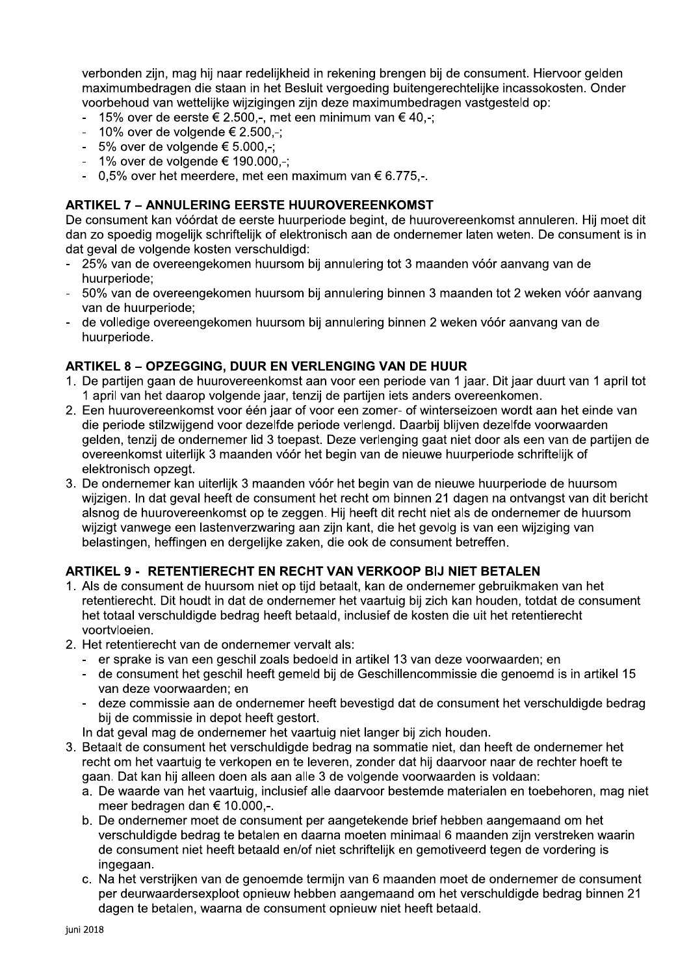verbonden zijn, mag hij naar redelijkheid in rekening brengen bij de consument. Hiervoor gelden maximumbedragen die staan in het Besluit vergoeding buitengerechtelijke incassokosten. Onder voorbehoud van wettelijke wijzigingen zijn deze maximumbedragen vastgesteld op:

- 15% over de eerste € 2.500,-, met een minimum van € 40,-;
- $-10\%$  over de volgende  $\in 2.500,$ -;
- $-5\%$  over de volgende  $\epsilon$  5.000,-;
- $-1\%$  over de volgende  $\epsilon$  190.000.-:
- $-0.5\%$  over het meerdere, met een maximum van  $\epsilon$  6.775.-

#### **ARTIKEL 7 - ANNULERING EERSTE HUUROVEREENKOMST**

De consument kan vóórdat de eerste huurperiode begint, de huurovereenkomst annuleren. Hij moet dit dan zo spoedig mogelijk schriftelijk of elektronisch aan de ondernemer laten weten. De consument is in dat geval de volgende kosten verschuldigd:

- 25% van de overeengekomen huursom bij annulering tot 3 maanden vóór aanvang van de huurperiode:
- 50% van de overeengekomen huursom bij annulering binnen 3 maanden tot 2 weken vóór aanvang van de huurperiode:
- de volledige overeengekomen huursom bij annulering binnen 2 weken vóór aanvang van de huurperiode.

### **ARTIKEL 8 - OPZEGGING, DUUR EN VERLENGING VAN DE HUUR**

- 1. De partijen gaan de huurovereenkomst aan voor een periode van 1 jaar. Dit jaar duurt van 1 april tot 1 april van het daarop volgende jaar, tenzij de partijen iets anders overeenkomen.
- 2. Een huurovereenkomst voor één jaar of voor een zomer- of winterseizoen wordt aan het einde van die periode stilzwijgend voor dezelfde periode verlengd. Daarbij blijven dezelfde voorwaarden gelden, tenzij de ondernemer lid 3 toepast. Deze verlenging gaat niet door als een van de partijen de overeenkomst uiterlijk 3 maanden vóór het begin van de nieuwe huurperiode schriftelijk of elektronisch opzeat.
- 3. De ondernemer kan uiterlijk 3 maanden vóór het begin van de nieuwe huurperiode de huursom wijzigen. In dat geval heeft de consument het recht om binnen 21 dagen na ontvangst van dit bericht alsnog de huurovereenkomst op te zeggen. Hij heeft dit recht niet als de ondernemer de huursom wijzigt vanwege een lastenverzwaring aan zijn kant, die het gevolg is van een wijziging van belastingen, heffingen en dergelijke zaken, die ook de consument betreffen.

### ARTIKEL 9 - RETENTIERECHT EN RECHT VAN VERKOOP BIJ NIET BETALEN

- 1. Als de consument de huursom niet op tijd betaalt, kan de ondernemer gebruikmaken van het retentierecht. Dit houdt in dat de ondernemer het vaartuig bij zich kan houden, totdat de consument het totaal verschuldigde bedrag heeft betaald, inclusief de kosten die uit het retentierecht voortvloeien.
- 2. Het retentierecht van de ondernemer vervalt als:
	- er sprake is van een geschil zoals bedoeld in artikel 13 van deze voorwaarden; en
	- de consument het geschil heeft gemeld bij de Geschillencommissie die genoemd is in artikel 15 van deze voorwaarden; en
	- deze commissie aan de ondernemer heeft bevestigd dat de consument het verschuldigde bedrag bij de commissie in depot heeft gestort.
	- In dat geval mag de ondernemer het vaartuig niet langer bij zich houden.
- 3. Betaalt de consument het verschuldigde bedrag na sommatie niet, dan heeft de ondernemer het recht om het vaartuig te verkopen en te leveren, zonder dat hij daarvoor naar de rechter hoeft te gaan. Dat kan hij alleen doen als aan alle 3 de volgende voorwaarden is voldaan:
	- a. De waarde van het vaartuig, inclusief alle daarvoor bestemde materialen en toebehoren, mag niet meer bedragen dan € 10.000.-.
	- b. De ondernemer moet de consument per aangetekende brief hebben aangemaand om het verschuldigde bedrag te betalen en daarna moeten minimaal 6 maanden zijn verstreken waarin de consument niet heeft betaald en/of niet schriftelijk en gemotiveerd tegen de vordering is ingegaan.
	- c. Na het verstrijken van de genoemde termijn van 6 maanden moet de ondernemer de consument per deurwaardersexploot opnieuw hebben aangemaand om het verschuldigde bedrag binnen 21 dagen te betalen, waarna de consument opnieuw niet heeft betaald.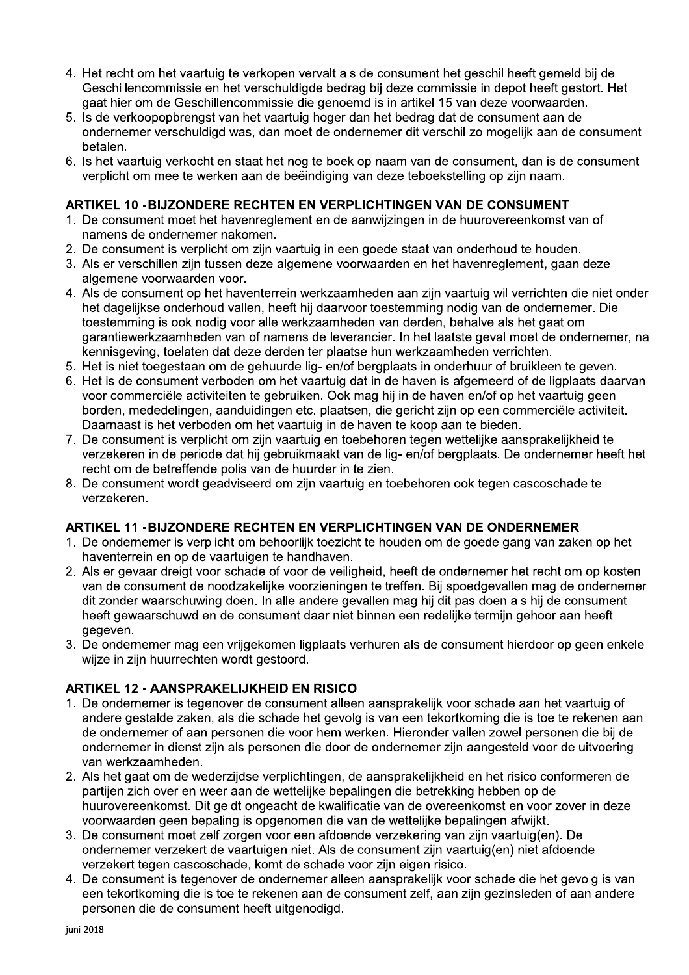- 4. Het recht om het vaartuig te verkopen vervalt als de consument het geschil heeft gemeld bij de Geschillencommissie en het verschuldigde bedrag bij deze commissie in depot heeft gestort. Het gaat hier om de Geschillencommissie die genoemd is in artikel 15 van deze voorwaarden.
- 5. Is de verkoopopbrengst van het vaartuig hoger dan het bedrag dat de consument aan de ondernemer verschuldigd was, dan moet de ondernemer dit verschil zo mogelijk aan de consument betalen.
- 6. Is het vaartuig verkocht en staat het nog te boek op naam van de consument, dan is de consument verplicht om mee te werken aan de beëindiging van deze teboekstelling op zijn naam.

#### ARTIKEL 10 - BIJZONDERE RECHTEN EN VERPLICHTINGEN VAN DE CONSUMENT

- 1. De consument moet het havenreglement en de aanwijzingen in de huurovereenkomst van of namens de ondernemer nakomen.
- 2. De consument is verplicht om zijn vaartuig in een goede staat van onderhoud te houden.
- 3. Als er verschillen zijn tussen deze algemene voorwaarden en het havenreglement, gaan deze algemene voorwaarden voor.
- 4. Als de consument op het haventerrein werkzaamheden aan zijn vaartuig wil verrichten die niet onder het dagelijkse onderhoud vallen, heeft hij daarvoor toestemming nodig van de ondernemer. Die toestemming is ook nodig voor alle werkzaamheden van derden, behalve als het gaat om garantiewerkzaamheden van of namens de leverancier. In het laatste geval moet de ondernemer, na kennisgeving, toelaten dat deze derden ter plaatse hun werkzaamheden verrichten.
- 5. Het is niet toegestaan om de gehuurde lig- en/of bergplaats in onderhuur of bruikleen te geven.
- 6. Het is de consument verboden om het vaartuig dat in de haven is afgemeerd of de ligplaats daarvan voor commerciële activiteiten te gebruiken. Ook mag hij in de haven en/of op het vaartuig geen borden, mededelingen, aanduidingen etc. plaatsen, die gericht zijn op een commerciële activiteit. Daarnaast is het verboden om het vaartuig in de haven te koop aan te bieden.
- 7. De consument is verplicht om zijn vaartuig en toebehoren tegen wettelijke aansprakelijkheid te verzekeren in de periode dat hij gebruikmaakt van de lig- en/of bergplaats. De ondernemer heeft het recht om de betreffende polis van de huurder in te zien.
- 8. De consument wordt geadviseerd om zijn vaartuig en toebehoren ook tegen cascoschade te verzekeren.

### **ARTIKEL 11 - BIJZONDERE RECHTEN EN VERPLICHTINGEN VAN DE ONDERNEMER**

- 1. De ondernemer is verplicht om behoorlijk toezicht te houden om de goede gang van zaken op het haventerrein en op de vaartuigen te handhaven.
- 2. Als er gevaar dreigt voor schade of voor de veiligheid, heeft de ondernemer het recht om op kosten van de consument de noodzakelijke voorzieningen te treffen. Bij spoedgevallen mag de ondernemer dit zonder waarschuwing doen. In alle andere gevallen mag hij dit pas doen als hij de consument heeft gewaarschuwd en de consument daar niet binnen een redelijke termijn gehoor aan heeft aeaeven.
- 3. De ondernemer mag een vrijgekomen ligplaats verhuren als de consument hierdoor op geen enkele wijze in zijn huurrechten wordt gestoord.

### **ARTIKEL 12 - AANSPRAKELIJKHEID EN RISICO**

- 1. De ondernemer is tegenover de consument alleen aansprakelijk voor schade aan het vaartuig of andere gestalde zaken, als die schade het gevolg is van een tekortkoming die is toe te rekenen aan de ondernemer of aan personen die voor hem werken. Hieronder vallen zowel personen die bij de ondernemer in dienst zijn als personen die door de ondernemer zijn aangesteld voor de uitvoering van werkzaamheden.
- 2. Als het gaat om de wederzijdse verplichtingen, de aansprakelijkheid en het risico conformeren de partijen zich over en weer aan de wettelijke bepalingen die betrekking hebben op de huurovereenkomst. Dit geldt ongeacht de kwalificatie van de overeenkomst en voor zover in deze voorwaarden geen bepaling is opgenomen die van de wettelijke bepalingen afwijkt.
- 3. De consument moet zelf zorgen voor een afdoende verzekering van zijn vaartujg(en). De ondernemer verzekert de vaartuigen niet. Als de consument zijn vaartuig(en) niet afdoende verzekert tegen cascoschade, komt de schade voor zijn eigen risico.
- 4. De consument is tegenover de ondernemer alleen aansprakelijk voor schade die het gevolg is van een tekortkoming die is toe te rekenen aan de consument zelf, aan zijn gezinsleden of aan andere personen die de consument heeft uitgenodigd.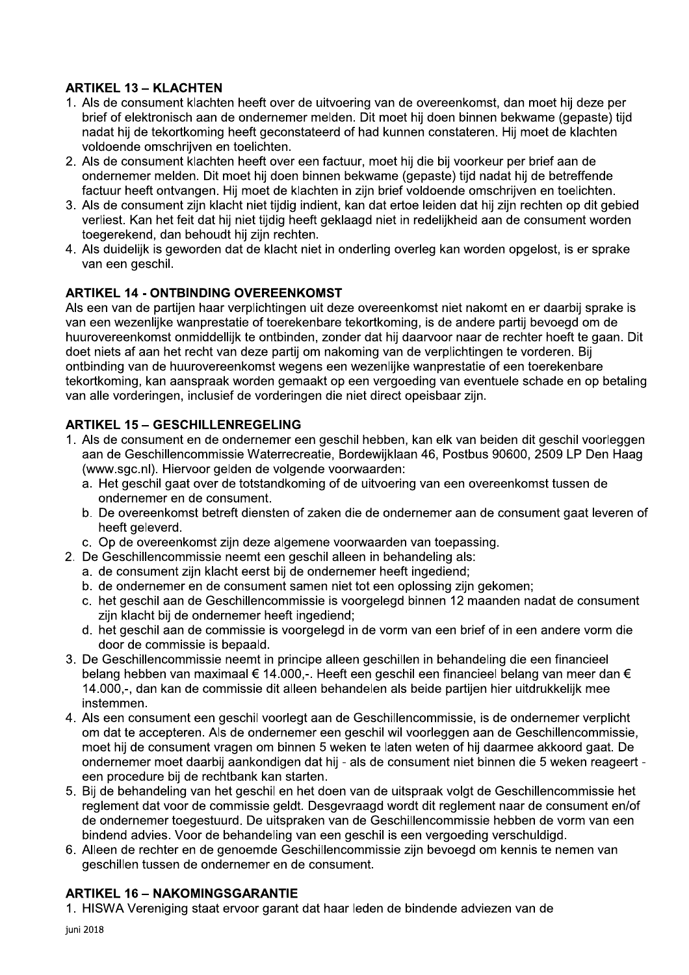# **ARTIKEL 13 - KLACHTEN**

- 1. Als de consument klachten heeft over de uitvoering van de overeenkomst, dan moet hij deze per brief of elektronisch aan de ondernemer melden. Dit moet hij doen binnen bekwame (gepaste) tijd nadat hij de tekortkoming heeft geconstateerd of had kunnen constateren. Hij moet de klachten voldoende omschrijven en toelichten.
- 2. Als de consument klachten heeft over een factuur, moet hij die bij voorkeur per brief aan de ondernemer melden. Dit moet hij doen binnen bekwame (gepaste) tijd nadat hij de betreffende factuur heeft ontvangen. Hij moet de klachten in zijn brief voldoende omschrijven en toelichten.
- 3. Als de consument zijn klacht niet tijdig indient, kan dat ertoe leiden dat hij zijn rechten op dit gebied verliest. Kan het feit dat hij niet tijdig heeft geklaagd niet in redelijkheid aan de consument worden toegerekend, dan behoudt hij zijn rechten.
- 4. Als duidelijk is geworden dat de klacht niet in onderling overleg kan worden opgelost, is er sprake van een geschil.

# **ARTIKEL 14 - ONTBINDING OVEREENKOMST**

Als een van de partijen haar verplichtingen uit deze overeenkomst niet nakomt en er daarbij sprake is van een wezenlijke wanprestatie of toerekenbare tekortkoming, is de andere partij bevoegd om de huurovereenkomst onmiddellijk te ontbinden, zonder dat hij daarvoor naar de rechter hoeft te gaan. Dit doet niets af aan het recht van deze partij om nakoming van de verplichtingen te vorderen. Bij ontbinding van de huurovereenkomst wegens een wezenlijke wanprestatie of een toerekenbare tekortkoming, kan aanspraak worden gemaakt op een vergoeding van eventuele schade en op betaling van alle vorderingen, inclusief de vorderingen die niet direct opeisbaar zijn.

### **ARTIKEL 15 - GESCHILLENREGELING**

- 1. Als de consument en de ondernemer een geschil hebben, kan elk van beiden dit geschil voorleggen aan de Geschillencommissie Waterrecreatie, Bordewijklaan 46, Postbus 90600, 2509 LP Den Haag (www.sqc.nl). Hiervoor gelden de volgende voorwaarden:
	- a. Het geschil gaat over de totstandkoming of de uitvoering van een overeenkomst tussen de ondernemer en de consument.
	- b. De overeenkomst betreft diensten of zaken die de ondernemer aan de consument gaat leveren of heeft geleverd.
	- c. Op de overeenkomst zijn deze algemene voorwaarden van toepassing.
- 2. De Geschillencommissie neemt een geschil alleen in behandeling als:
	- a. de consument zijn klacht eerst bij de ondernemer heeft ingediend;
	- b. de ondernemer en de consument samen niet tot een oplossing zijn gekomen;
	- c. het geschil aan de Geschillencommissie is voorgelegd binnen 12 maanden nadat de consument zijn klacht bij de ondernemer heeft ingediend;
	- d. het geschil aan de commissie is voorgelegd in de vorm van een brief of in een andere vorm die door de commissie is bepaald.
- 3. De Geschillencommissie neemt in principe alleen geschillen in behandeling die een financieel belang hebben van maximaal € 14.000,-. Heeft een geschil een financieel belang van meer dan € 14.000,-, dan kan de commissie dit alleen behandelen als beide partijen hier uitdrukkelijk mee instemmen.
- 4. Als een consument een geschil voorlegt aan de Geschillencommissie, is de ondernemer verplicht om dat te accepteren. Als de ondernemer een geschil wil voorleggen aan de Geschillencommissie, moet hij de consument vragen om binnen 5 weken te laten weten of hij daarmee akkoord gaat. De ondernemer moet daarbij aankondigen dat hij - als de consument niet binnen die 5 weken reageert een procedure bij de rechtbank kan starten.
- 5. Bij de behandeling van het geschil en het doen van de uitspraak volgt de Geschillencommissie het reglement dat voor de commissie geldt. Desgevraagd wordt dit reglement naar de consument en/of de ondernemer toegestuurd. De uitspraken van de Geschillencommissie hebben de vorm van een bindend advies. Voor de behandeling van een geschil is een vergoeding verschuldigd.
- 6. Alleen de rechter en de genoemde Geschillencommissie zijn bevoegd om kennis te nemen van geschillen tussen de ondernemer en de consument.

### **ARTIKEL 16 - NAKOMINGSGARANTIE**

1. HISWA Vereniging staat ervoor garant dat haar leden de bindende adviezen van de